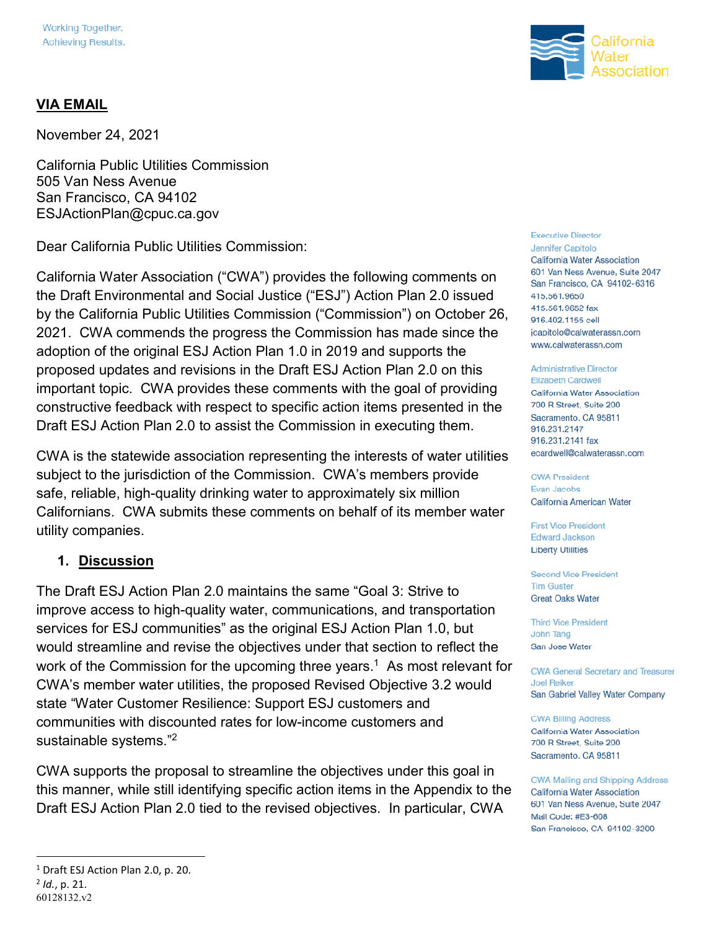### **VIA EMAIL**

November 24, 2021

California Public Utilities Commission 505 Van Ness Avenue San Francisco, CA 94102 ESJActionPlan@cpuc.ca.gov

Dear California Public Utilities Commission:

California Water Association ("CWA") provides the following comments on the Draft Environmental and Social Justice ("ESJ") Action Plan 2.0 issued by the California Public Utilities Commission ("Commission") on October 26, 2021. CWA commends the progress the Commission has made since the adoption of the original ESJ Action Plan 1.0 in 2019 and supports the proposed updates and revisions in the Draft ESJ Action Plan 2.0 on this important topic. CWA provides these comments with the goal of providing constructive feedback with respect to specific action items presented in the Draft ESJ Action Plan 2.0 to assist the Commission in executing them.

CWA is the statewide association representing the interests of water utilities subject to the jurisdiction of the Commission. CWA's members provide safe, reliable, high-quality drinking water to approximately six million Californians. CWA submits these comments on behalf of its member water utility companies.

#### **1. Discussion**

The Draft ESJ Action Plan 2.0 maintains the same "Goal 3: Strive to improve access to high-quality water, communications, and transportation services for ESJ communities" as the original ESJ Action Plan 1.0, but would streamline and revise the objectives under that section to reflect the work of the Commission for the upcoming three years.<sup>1</sup> As most relevant for CWA's member water utilities, the proposed Revised Objective 3.2 would state "Water Customer Resilience: Support ESJ customers and communities with discounted rates for low-income customers and sustainable systems."<sup>2</sup>

CWA supports the proposal to streamline the objectives under this goal in this manner, while still identifying specific action items in the Appendix to the Draft ESJ Action Plan 2.0 tied to the revised objectives. In particular, CWA

#### <sup>1</sup> Draft ESJ Action Plan 2.0, p. 20.

<u>.</u>





#### **Executive Director**

Jennifer Capitolo California Water Association 601 Van Ness Avenue, Suite 2047 San Francisco, CA 94102-6316 415.561.9650 415.561.9652 fax 916.402.1155 cell jcapitolo@calwaterassn.com www.calwaterassn.com

#### **Administrative Director**

**Elizabeth Cardwell** California Water Association 700 R Street, Suite 200 Sacramento, CA 95811 916.231.2147 916.231.2141 fax ecardwell@calwaterassn.com

**CWA President Evan Jacobs** California American Water

**First Vice President Edward Jackson Liberty Utilities** 

**Second Vice President Tim Guster Great Oaks Water** 

**Third Vice President** John Tang San Jose Water

**CWA General Secretary and Treasurer Joel Reiker** San Gabriel Valley Water Company

#### **CWA Billing Address**

California Water Association 700 R Street, Suite 200 Sacramento, CA 95811

**CWA Mailing and Shipping Address** California Water Association 601 Van Ness Avenue, Suite 2047 Mail Code: #E3-608 San Francisco, CA 94102-3200

<sup>2</sup> *Id.*, p. 21.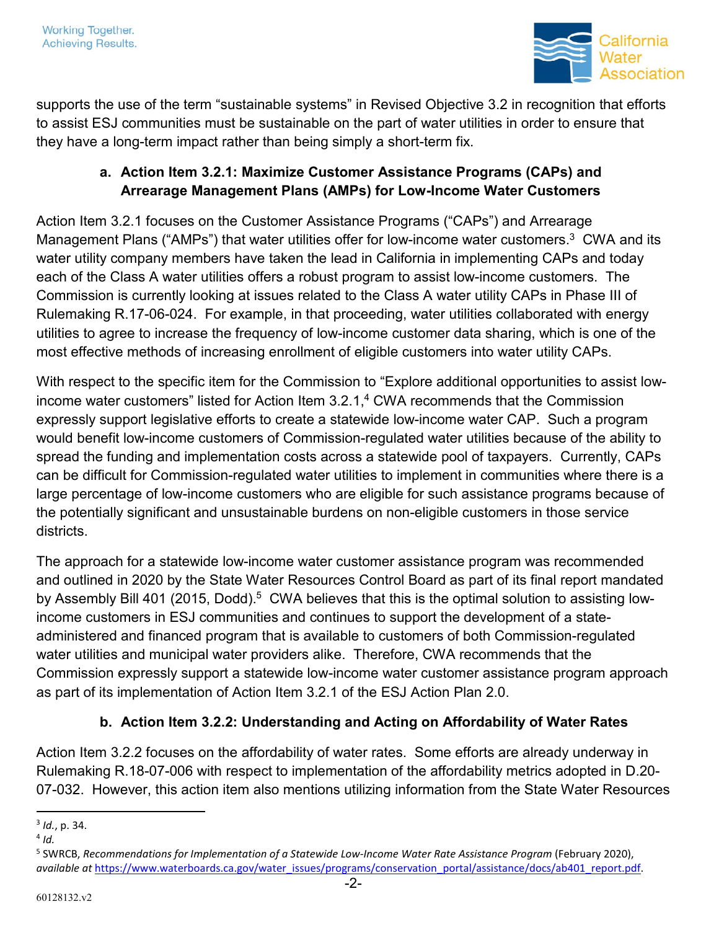

supports the use of the term "sustainable systems" in Revised Objective 3.2 in recognition that efforts to assist ESJ communities must be sustainable on the part of water utilities in order to ensure that they have a long-term impact rather than being simply a short-term fix.

# **a. Action Item 3.2.1: Maximize Customer Assistance Programs (CAPs) and Arrearage Management Plans (AMPs) for Low-Income Water Customers**

Action Item 3.2.1 focuses on the Customer Assistance Programs ("CAPs") and Arrearage Management Plans ("AMPs") that water utilities offer for low-income water customers.<sup>3</sup> CWA and its water utility company members have taken the lead in California in implementing CAPs and today each of the Class A water utilities offers a robust program to assist low-income customers. The Commission is currently looking at issues related to the Class A water utility CAPs in Phase III of Rulemaking R.17-06-024. For example, in that proceeding, water utilities collaborated with energy utilities to agree to increase the frequency of low-income customer data sharing, which is one of the most effective methods of increasing enrollment of eligible customers into water utility CAPs.

With respect to the specific item for the Commission to "Explore additional opportunities to assist lowincome water customers" listed for Action Item 3.2.1,<sup>4</sup> CWA recommends that the Commission expressly support legislative efforts to create a statewide low-income water CAP. Such a program would benefit low-income customers of Commission-regulated water utilities because of the ability to spread the funding and implementation costs across a statewide pool of taxpayers. Currently, CAPs can be difficult for Commission-regulated water utilities to implement in communities where there is a large percentage of low-income customers who are eligible for such assistance programs because of the potentially significant and unsustainable burdens on non-eligible customers in those service districts.

The approach for a statewide low-income water customer assistance program was recommended and outlined in 2020 by the State Water Resources Control Board as part of its final report mandated by Assembly Bill 401 (2015, Dodd).<sup>5</sup> CWA believes that this is the optimal solution to assisting lowincome customers in ESJ communities and continues to support the development of a stateadministered and financed program that is available to customers of both Commission-regulated water utilities and municipal water providers alike. Therefore, CWA recommends that the Commission expressly support a statewide low-income water customer assistance program approach as part of its implementation of Action Item 3.2.1 of the ESJ Action Plan 2.0.

## **b. Action Item 3.2.2: Understanding and Acting on Affordability of Water Rates**

Action Item 3.2.2 focuses on the affordability of water rates. Some efforts are already underway in Rulemaking R.18-07-006 with respect to implementation of the affordability metrics adopted in D.20- 07-032. However, this action item also mentions utilizing information from the State Water Resources

<u>.</u>

<sup>3</sup> *Id.*, p. 34.

<sup>4</sup> *Id.*

<sup>5</sup> SWRCB, *Recommendations for Implementation of a Statewide Low-Income Water Rate Assistance Program* (February 2020), available at [https://www.waterboards.ca.gov/water\\_issues/programs/conservation\\_portal/assistance/docs/ab401\\_report.pdf.](https://www.waterboards.ca.gov/water_issues/programs/conservation_portal/assistance/docs/ab401_report.pdf)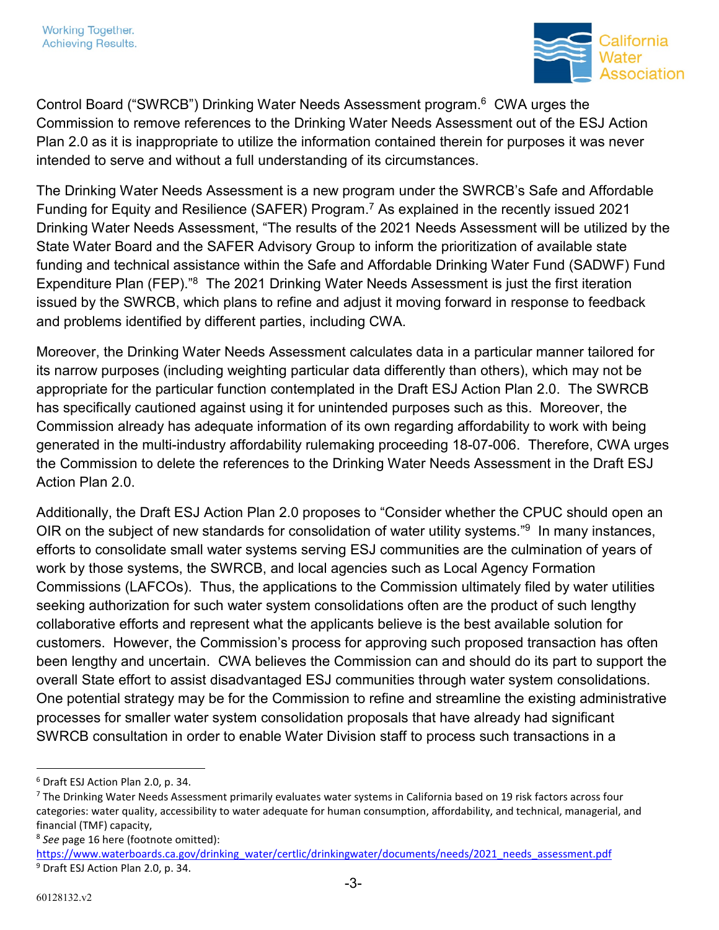

Control Board ("SWRCB") Drinking Water Needs Assessment program.<sup>6</sup> CWA urges the Commission to remove references to the Drinking Water Needs Assessment out of the ESJ Action Plan 2.0 as it is inappropriate to utilize the information contained therein for purposes it was never intended to serve and without a full understanding of its circumstances.

The Drinking Water Needs Assessment is a new program under the SWRCB's Safe and Affordable Funding for Equity and Resilience (SAFER) Program.<sup>7</sup> As explained in the recently issued 2021 Drinking Water Needs Assessment, "The results of the 2021 Needs Assessment will be utilized by the State Water Board and the SAFER Advisory Group to inform the prioritization of available state funding and technical assistance within the Safe and Affordable Drinking Water Fund (SADWF) Fund Expenditure Plan (FEP)."<sup>8</sup> The 2021 Drinking Water Needs Assessment is just the first iteration issued by the SWRCB, which plans to refine and adjust it moving forward in response to feedback and problems identified by different parties, including CWA.

Moreover, the Drinking Water Needs Assessment calculates data in a particular manner tailored for its narrow purposes (including weighting particular data differently than others), which may not be appropriate for the particular function contemplated in the Draft ESJ Action Plan 2.0. The SWRCB has specifically cautioned against using it for unintended purposes such as this. Moreover, the Commission already has adequate information of its own regarding affordability to work with being generated in the multi-industry affordability rulemaking proceeding 18-07-006. Therefore, CWA urges the Commission to delete the references to the Drinking Water Needs Assessment in the Draft ESJ Action Plan 2.0.

Additionally, the Draft ESJ Action Plan 2.0 proposes to "Consider whether the CPUC should open an OIR on the subject of new standards for consolidation of water utility systems."<sup>9</sup> In many instances, efforts to consolidate small water systems serving ESJ communities are the culmination of years of work by those systems, the SWRCB, and local agencies such as Local Agency Formation Commissions (LAFCOs). Thus, the applications to the Commission ultimately filed by water utilities seeking authorization for such water system consolidations often are the product of such lengthy collaborative efforts and represent what the applicants believe is the best available solution for customers. However, the Commission's process for approving such proposed transaction has often been lengthy and uncertain. CWA believes the Commission can and should do its part to support the overall State effort to assist disadvantaged ESJ communities through water system consolidations. One potential strategy may be for the Commission to refine and streamline the existing administrative processes for smaller water system consolidation proposals that have already had significant SWRCB consultation in order to enable Water Division staff to process such transactions in a

 $\overline{a}$ 

<sup>6</sup> Draft ESJ Action Plan 2.0, p. 34.

<sup>&</sup>lt;sup>7</sup> The Drinking Water Needs Assessment primarily evaluates water systems in California based on 19 risk factors across four categories: water quality, accessibility to water adequate for human consumption, affordability, and technical, managerial, and financial (TMF) capacity,

<sup>8</sup> *See* page 16 here (footnote omitted):

https://www.waterboards.ca.gov/drinking\_water/certlic/drinkingwater/documents/needs/2021\_needs\_assessment.pdf 9 Draft ESJ Action Plan 2.0, p. 34.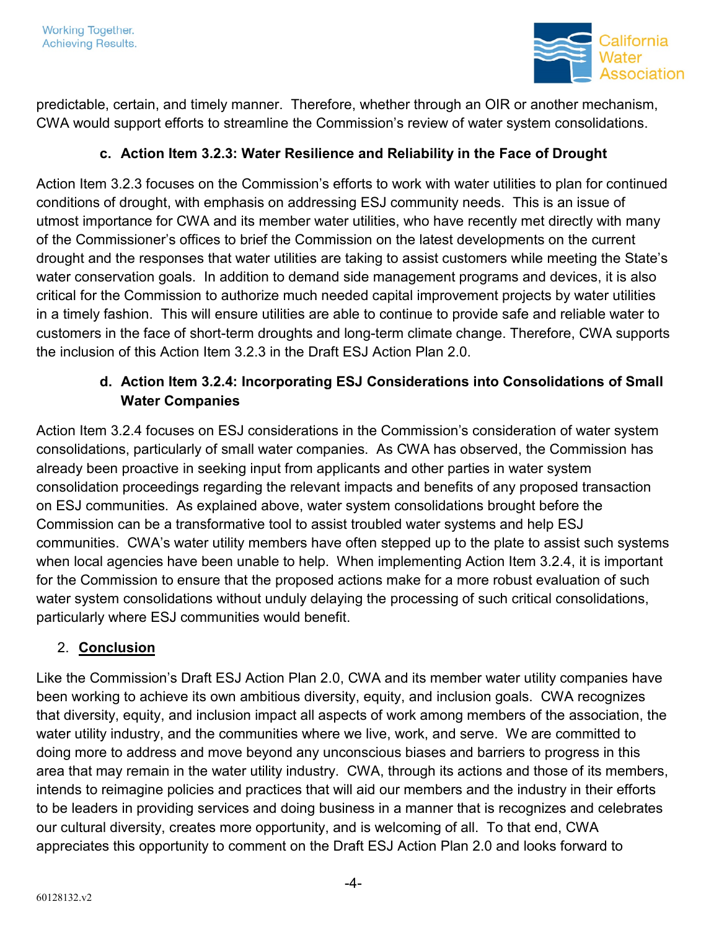

predictable, certain, and timely manner. Therefore, whether through an OIR or another mechanism, CWA would support efforts to streamline the Commission's review of water system consolidations.

## **c. Action Item 3.2.3: Water Resilience and Reliability in the Face of Drought**

Action Item 3.2.3 focuses on the Commission's efforts to work with water utilities to plan for continued conditions of drought, with emphasis on addressing ESJ community needs. This is an issue of utmost importance for CWA and its member water utilities, who have recently met directly with many of the Commissioner's offices to brief the Commission on the latest developments on the current drought and the responses that water utilities are taking to assist customers while meeting the State's water conservation goals. In addition to demand side management programs and devices, it is also critical for the Commission to authorize much needed capital improvement projects by water utilities in a timely fashion. This will ensure utilities are able to continue to provide safe and reliable water to customers in the face of short-term droughts and long-term climate change. Therefore, CWA supports the inclusion of this Action Item 3.2.3 in the Draft ESJ Action Plan 2.0.

# **d. Action Item 3.2.4: Incorporating ESJ Considerations into Consolidations of Small Water Companies**

Action Item 3.2.4 focuses on ESJ considerations in the Commission's consideration of water system consolidations, particularly of small water companies. As CWA has observed, the Commission has already been proactive in seeking input from applicants and other parties in water system consolidation proceedings regarding the relevant impacts and benefits of any proposed transaction on ESJ communities. As explained above, water system consolidations brought before the Commission can be a transformative tool to assist troubled water systems and help ESJ communities. CWA's water utility members have often stepped up to the plate to assist such systems when local agencies have been unable to help. When implementing Action Item 3.2.4, it is important for the Commission to ensure that the proposed actions make for a more robust evaluation of such water system consolidations without unduly delaying the processing of such critical consolidations, particularly where ESJ communities would benefit.

## 2. **Conclusion**

Like the Commission's Draft ESJ Action Plan 2.0, CWA and its member water utility companies have been working to achieve its own ambitious diversity, equity, and inclusion goals. CWA recognizes that diversity, equity, and inclusion impact all aspects of work among members of the association, the water utility industry, and the communities where we live, work, and serve. We are committed to doing more to address and move beyond any unconscious biases and barriers to progress in this area that may remain in the water utility industry. CWA, through its actions and those of its members, intends to reimagine policies and practices that will aid our members and the industry in their efforts to be leaders in providing services and doing business in a manner that is recognizes and celebrates our cultural diversity, creates more opportunity, and is welcoming of all. To that end, CWA appreciates this opportunity to comment on the Draft ESJ Action Plan 2.0 and looks forward to